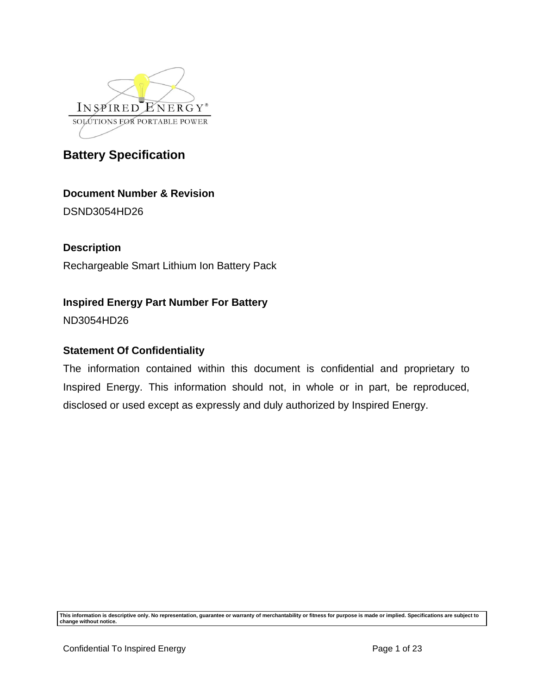

# **Document Number & Revision**

DSND3054HD26

## **Description**

Rechargeable Smart Lithium Ion Battery Pack

# **Inspired Energy Part Number For Battery**

ND3054HD26

## **Statement Of Confidentiality**

The information contained within this document is confidential and proprietary to Inspired Energy. This information should not, in whole or in part, be reproduced, disclosed or used except as expressly and duly authorized by Inspired Energy.

**This information is descriptive only. No representation, guarantee or warranty of merchantability or fitness for purpose is made or implied. Specifications are subject to change without notice.**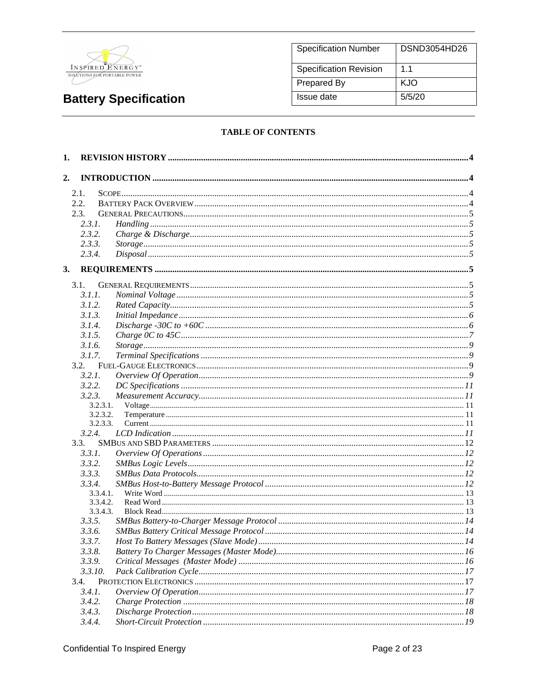

| <b>Specification Number</b> | DSND3054HD26 |
|-----------------------------|--------------|
| Specification Revision      | 11           |
| Prepared By                 | KJO          |
| Issue date                  | 5/5/20       |

### **TABLE OF CONTENTS**

| 1. |          |  |
|----|----------|--|
| 2. |          |  |
|    |          |  |
|    | 2.1.     |  |
|    | 2.2.     |  |
|    | 2.3.     |  |
|    | 2.3.1.   |  |
|    | 2.3.2.   |  |
|    | 2.3.3.   |  |
|    | 2.3.4.   |  |
| 3. |          |  |
|    | 3.1.     |  |
|    | 3.1.1.   |  |
|    | 3.1.2.   |  |
|    | 3.1.3.   |  |
|    | 3.1.4.   |  |
|    | 3.1.5.   |  |
|    | 3.1.6.   |  |
|    | 3.1.7.   |  |
|    | 3.2.     |  |
|    | 3.2.1.   |  |
|    | 3.2.2.   |  |
|    | 3.2.3.   |  |
|    | 3.2.3.1. |  |
|    | 3.2.3.2. |  |
|    | 3.2.3.3. |  |
|    | 3.2.4.   |  |
|    | 3.3.     |  |
|    | 3.3.1.   |  |
|    | 3.3.2.   |  |
|    | 3.3.3.   |  |
|    | 3.3.4.   |  |
|    | 3.3.4.1. |  |
|    | 3.3.4.2. |  |
|    | 3.3.4.3. |  |
|    | 3.3.5.   |  |
|    | 3.3.6.   |  |
|    | 3.3.7.   |  |
|    | 3.3.8.   |  |
|    | 3.3.9.   |  |
|    | 3.3.10.  |  |
|    | 3.4.     |  |
|    | 3.4.1.   |  |
|    | 3.4.2.   |  |
|    | 3.4.3.   |  |
|    | 3.4.4.   |  |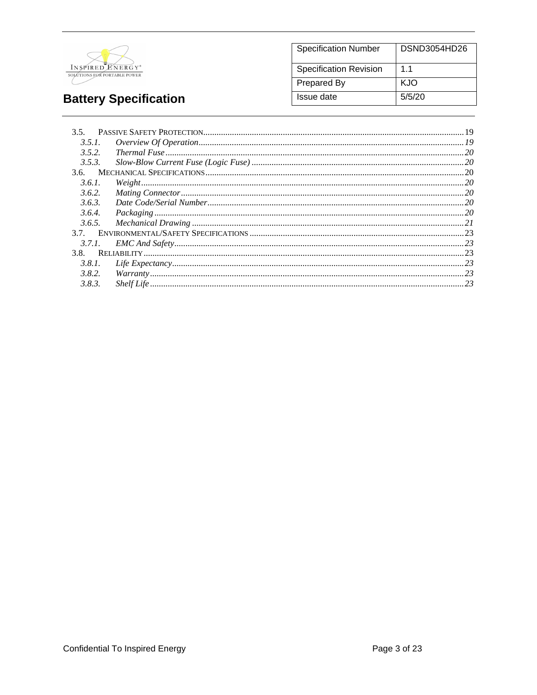

| <b>Specification Number</b>   | DSND3054HD26   |
|-------------------------------|----------------|
| <b>Specification Revision</b> | 1 <sub>1</sub> |
| <b>Prepared By</b>            | KJO            |
| Issue date                    | 5/5/20         |

| 3.5.   |                                                                                                    |  |
|--------|----------------------------------------------------------------------------------------------------|--|
| 3.5.1. | $\emph{Overview Of Operation} \label{OverviewOf Operation} \emph{Overview Of Operation} \emph{19}$ |  |
| 3.5.2. |                                                                                                    |  |
| 3.5.3. |                                                                                                    |  |
| 3.6.   |                                                                                                    |  |
| 3.6.1. | Weight 20                                                                                          |  |
| 3.6.2. |                                                                                                    |  |
| 3.6.3. |                                                                                                    |  |
| 3.6.4. |                                                                                                    |  |
| 3.6.5. |                                                                                                    |  |
| 37     |                                                                                                    |  |
| 3.7.1. |                                                                                                    |  |
| 3.8.   |                                                                                                    |  |
| 3.8.1. |                                                                                                    |  |
| 3.8.2. |                                                                                                    |  |
| 3.8.3. |                                                                                                    |  |
|        |                                                                                                    |  |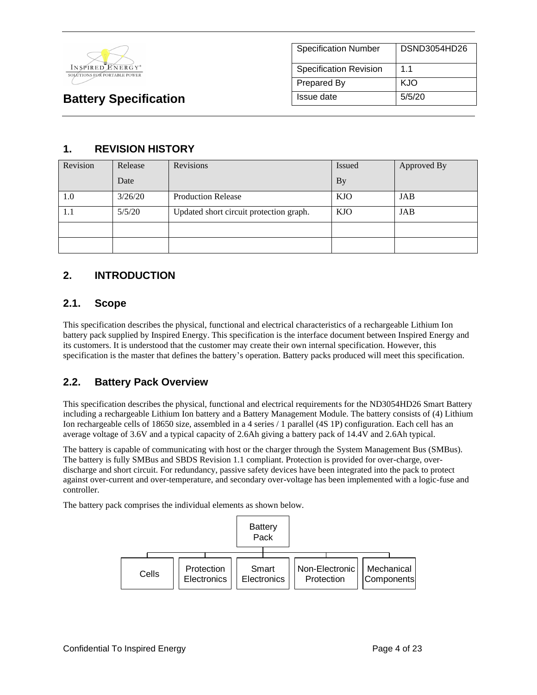

| <b>Specification Number</b> | DSND3054HD26 |
|-----------------------------|--------------|
| Specification Revision      | 1.1          |
| Prepared By                 | KJO          |
| Issue date                  | 5/5/20       |

# **1. REVISION HISTORY**

| Revision | Release | Revisions                               | Issued     | Approved By |
|----------|---------|-----------------------------------------|------------|-------------|
|          | Date    |                                         | <b>By</b>  |             |
| 1.0      | 3/26/20 | <b>Production Release</b>               | <b>KJO</b> | JAB         |
| 1.1      | 5/5/20  | Updated short circuit protection graph. | <b>KJO</b> | JAB         |
|          |         |                                         |            |             |
|          |         |                                         |            |             |

# **2. INTRODUCTION**

### **2.1. Scope**

This specification describes the physical, functional and electrical characteristics of a rechargeable Lithium Ion battery pack supplied by Inspired Energy. This specification is the interface document between Inspired Energy and its customers. It is understood that the customer may create their own internal specification. However, this specification is the master that defines the battery's operation. Battery packs produced will meet this specification.

## **2.2. Battery Pack Overview**

This specification describes the physical, functional and electrical requirements for the ND3054HD26 Smart Battery including a rechargeable Lithium Ion battery and a Battery Management Module. The battery consists of (4) Lithium Ion rechargeable cells of 18650 size, assembled in a 4 series / 1 parallel (4S 1P) configuration. Each cell has an average voltage of 3.6V and a typical capacity of 2.6Ah giving a battery pack of 14.4V and 2.6Ah typical.

The battery is capable of communicating with host or the charger through the System Management Bus (SMBus). The battery is fully SMBus and SBDS Revision 1.1 compliant. Protection is provided for over-charge, overdischarge and short circuit. For redundancy, passive safety devices have been integrated into the pack to protect against over-current and over-temperature, and secondary over-voltage has been implemented with a logic-fuse and controller.

The battery pack comprises the individual elements as shown below.

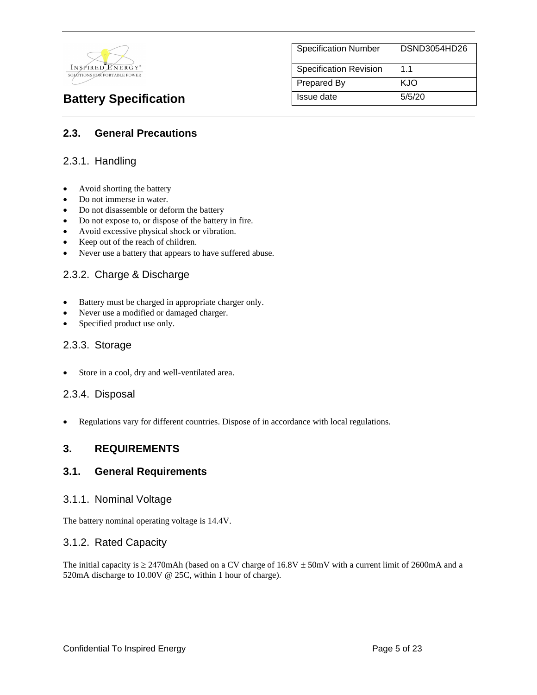

| <b>Specification Number</b>   | DSND3054HD26 |
|-------------------------------|--------------|
| <b>Specification Revision</b> | 11           |
| Prepared By                   | KJO          |
| Issue date                    | 5/5/20       |

## **2.3. General Precautions**

### 2.3.1. Handling

- Avoid shorting the battery
- Do not immerse in water.
- Do not disassemble or deform the battery
- Do not expose to, or dispose of the battery in fire.
- Avoid excessive physical shock or vibration.
- Keep out of the reach of children.
- Never use a battery that appears to have suffered abuse.

### 2.3.2. Charge & Discharge

- Battery must be charged in appropriate charger only.
- Never use a modified or damaged charger.
- Specified product use only.

#### 2.3.3. Storage

Store in a cool, dry and well-ventilated area.

### 2.3.4. Disposal

• Regulations vary for different countries. Dispose of in accordance with local regulations.

### **3. REQUIREMENTS**

#### **3.1. General Requirements**

#### 3.1.1. Nominal Voltage

The battery nominal operating voltage is 14.4V.

### 3.1.2. Rated Capacity

The initial capacity is  $\geq$  2470mAh (based on a CV charge of 16.8V  $\pm$  50mV with a current limit of 2600mA and a 520mA discharge to 10.00V @ 25C, within 1 hour of charge).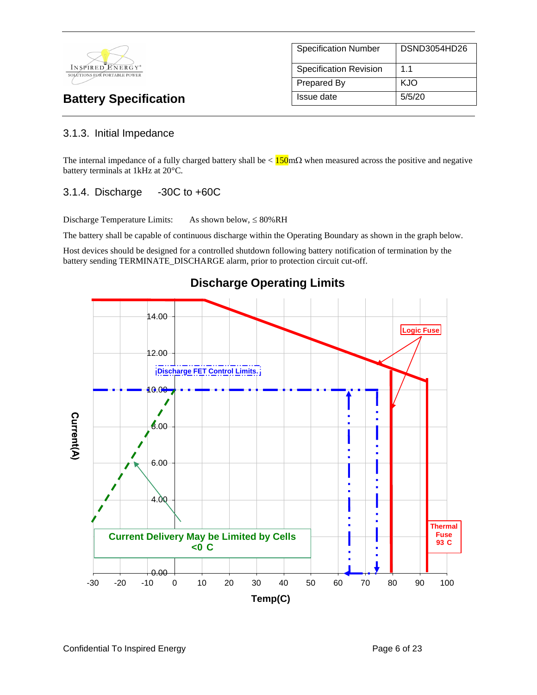

| <b>Specification Number</b>   | DSND3054HD26 |
|-------------------------------|--------------|
| <b>Specification Revision</b> | 11           |
| <b>Prepared By</b>            | KJO          |
| Issue date                    | 5/5/20       |

### 3.1.3. Initial Impedance

The internal impedance of a fully charged battery shall be  $< 150$  m $\Omega$  when measured across the positive and negative battery terminals at 1kHz at 20°C.

### 3.1.4. Discharge -30C to +60C

Discharge Temperature Limits: As shown below,  $\leq 80\%RH$ 

The battery shall be capable of continuous discharge within the Operating Boundary as shown in the graph below.

Host devices should be designed for a controlled shutdown following battery notification of termination by the battery sending TERMINATE\_DISCHARGE alarm, prior to protection circuit cut-off.



# **Discharge Operating Limits**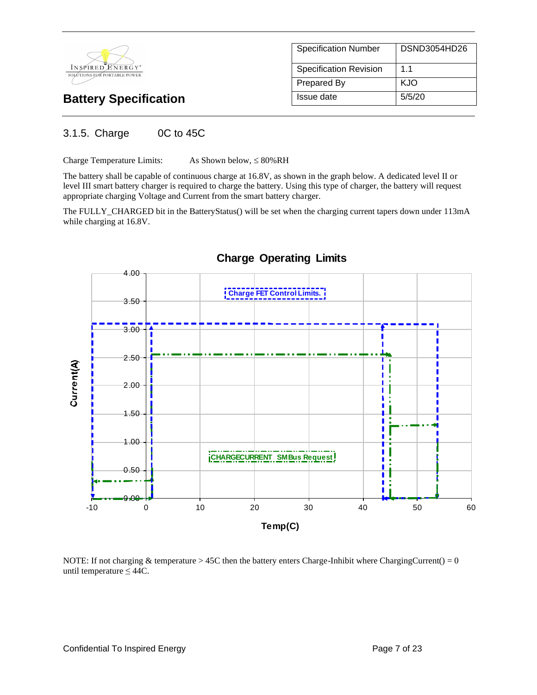

| <b>Specification Number</b>   | DSND3054HD26   |
|-------------------------------|----------------|
| <b>Specification Revision</b> | 1 <sub>1</sub> |
| Prepared By                   | KJO            |
| Issue date                    | 5/5/20         |

## 3.1.5. Charge 0C to 45C

Charge Temperature Limits: As Shown below,  $\leq 80\%$  RH

The battery shall be capable of continuous charge at 16.8V, as shown in the graph below. A dedicated level II or level III smart battery charger is required to charge the battery. Using this type of charger, the battery will request appropriate charging Voltage and Current from the smart battery charger.

The FULLY\_CHARGED bit in the BatteryStatus() will be set when the charging current tapers down under 113mA while charging at 16.8V.



### **Charge Operating Limits**

NOTE: If not charging  $&$  temperature  $> 45C$  then the battery enters Charge-Inhibit where ChargingCurrent() = 0 until temperature  $\leq 44C$ .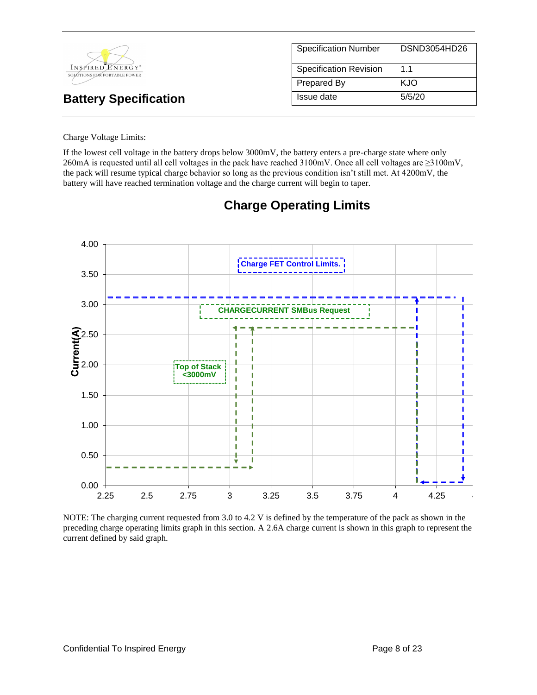|                                                  | <b>Specification Number</b>   | DSND3054HD26 |
|--------------------------------------------------|-------------------------------|--------------|
| INSPIRED ENERGY*<br>SOLÚTIONS FOR PORTABLE POWER | <b>Specification Revision</b> | 1.1          |
|                                                  | Prepared By                   | <b>KJO</b>   |
| <b>Battery Specification</b>                     | Issue date                    | 5/5/20       |

#### Charge Voltage Limits:

If the lowest cell voltage in the battery drops below 3000mV, the battery enters a pre-charge state where only 260mA is requested until all cell voltages in the pack have reached 3100mV. Once all cell voltages are ≥3100mV, the pack will resume typical charge behavior so long as the previous condition isn't still met. At 4200mV, the battery will have reached termination voltage and the charge current will begin to taper.



# **Charge Operating Limits**

NOTE: The charging current requested from 3.0 to 4.2 V is defined by the temperature of the pack as shown in the preceding charge operating limits graph in this section. A 2.6A charge current is shown in this graph to represent the current defined by said graph.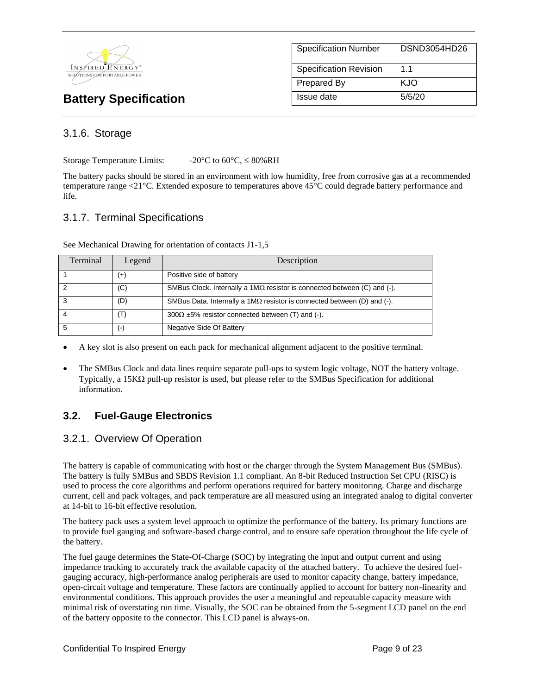

| <b>Specification Number</b>   | DSND3054HD26   |
|-------------------------------|----------------|
| <b>Specification Revision</b> | 1 <sub>1</sub> |
| <b>Prepared By</b>            | KJO            |
| Issue date                    | 5/5/20         |

## 3.1.6. Storage

Storage Temperature Limits:  $-20^{\circ}$ C to  $60^{\circ}$ C,  $\leq 80\%$ RH

The battery packs should be stored in an environment with low humidity, free from corrosive gas at a recommended temperature range <21°C. Extended exposure to temperatures above 45°C could degrade battery performance and life.

## 3.1.7. Terminal Specifications

| Terminal | Legend             | Description                                                                     |
|----------|--------------------|---------------------------------------------------------------------------------|
|          | $^{(+)}$           | Positive side of battery                                                        |
|          | (C)                | SMBus Clock. Internally a $1M\Omega$ resistor is connected between (C) and (-). |
| - 3      | (D)                | SMBus Data. Internally a 1M $\Omega$ resistor is connected between (D) and (-). |
|          | (T)                | $300\Omega \pm 5\%$ resistor connected between (T) and (-).                     |
| -5       | $(\textnormal{-})$ | Negative Side Of Battery                                                        |

See Mechanical Drawing for orientation of contacts J1-1,5

- A key slot is also present on each pack for mechanical alignment adjacent to the positive terminal.
- The SMBus Clock and data lines require separate pull-ups to system logic voltage, NOT the battery voltage. Typically, a 15K $\Omega$  pull-up resistor is used, but please refer to the SMBus Specification for additional information.

# **3.2. Fuel-Gauge Electronics**

### 3.2.1. Overview Of Operation

The battery is capable of communicating with host or the charger through the System Management Bus (SMBus). The battery is fully SMBus and SBDS Revision 1.1 compliant. An 8-bit Reduced Instruction Set CPU (RISC) is used to process the core algorithms and perform operations required for battery monitoring. Charge and discharge current, cell and pack voltages, and pack temperature are all measured using an integrated analog to digital converter at 14-bit to 16-bit effective resolution.

The battery pack uses a system level approach to optimize the performance of the battery. Its primary functions are to provide fuel gauging and software-based charge control, and to ensure safe operation throughout the life cycle of the battery.

The fuel gauge determines the State-Of-Charge (SOC) by integrating the input and output current and using impedance tracking to accurately track the available capacity of the attached battery. To achieve the desired fuelgauging accuracy, high-performance analog peripherals are used to monitor capacity change, battery impedance, open-circuit voltage and temperature. These factors are continually applied to account for battery non-linearity and environmental conditions. This approach provides the user a meaningful and repeatable capacity measure with minimal risk of overstating run time. Visually, the SOC can be obtained from the 5-segment LCD panel on the end of the battery opposite to the connector. This LCD panel is always-on.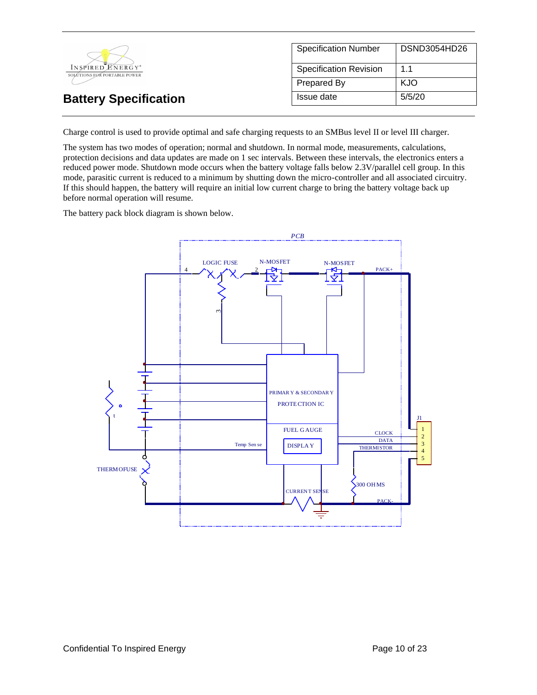

Charge control is used to provide optimal and safe charging requests to an SMBus level II or level III charger.

The system has two modes of operation; normal and shutdown. In normal mode, measurements, calculations, protection decisions and data updates are made on 1 sec intervals. Between these intervals, the electronics enters a reduced power mode. Shutdown mode occurs when the battery voltage falls below 2.3V/parallel cell group. In this mode, parasitic current is reduced to a minimum by shutting down the micro-controller and all associated circuitry. If this should happen, the battery will require an initial low current charge to bring the battery voltage back up before normal operation will resume.

The battery pack block diagram is shown below.

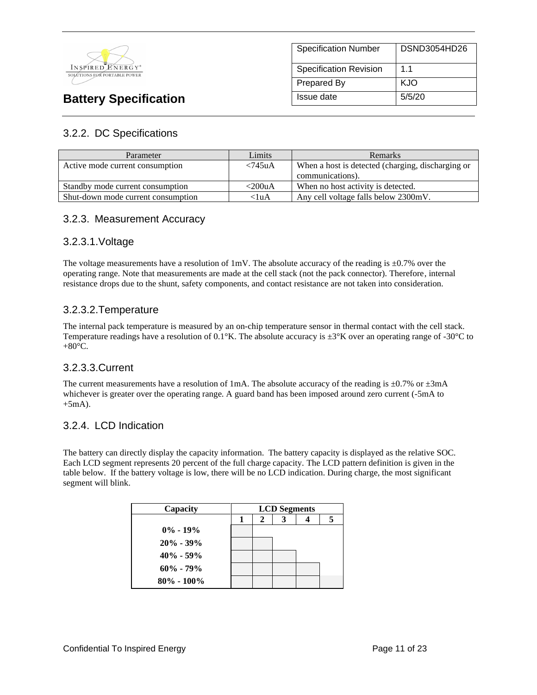

| <b>Specification Number</b>   | DSND3054HD26   |
|-------------------------------|----------------|
| <b>Specification Revision</b> | 1 <sub>1</sub> |
| Prepared By                   | KJO            |
| Issue date                    | 5/5/20         |

## 3.2.2. DC Specifications

| Parameter                          | Limits                         | <b>Remarks</b>                                    |
|------------------------------------|--------------------------------|---------------------------------------------------|
| Active mode current consumption    | $\langle 745 \text{u} \rangle$ | When a host is detected (charging, discharging or |
|                                    |                                | communications).                                  |
| Standby mode current consumption   | $<$ 200uA                      | When no host activity is detected.                |
| Shut-down mode current consumption | $<$ luA                        | Any cell voltage falls below 2300mV.              |

### 3.2.3. Measurement Accuracy

### 3.2.3.1.Voltage

The voltage measurements have a resolution of  $1 \text{mV}$ . The absolute accuracy of the reading is  $\pm 0.7\%$  over the operating range. Note that measurements are made at the cell stack (not the pack connector). Therefore, internal resistance drops due to the shunt, safety components, and contact resistance are not taken into consideration.

### 3.2.3.2.Temperature

The internal pack temperature is measured by an on-chip temperature sensor in thermal contact with the cell stack. Temperature readings have a resolution of  $0.1\degree K$ . The absolute accuracy is  $\pm 3\degree K$  over an operating range of -30 $\degree C$  to  $+80^{\circ}$ C.

### 3.2.3.3.Current

The current measurements have a resolution of 1mA. The absolute accuracy of the reading is  $\pm 0.7\%$  or  $\pm 3\text{mA}$ whichever is greater over the operating range. A guard band has been imposed around zero current (-5mA to  $+5mA$ ).

### 3.2.4. LCD Indication

The battery can directly display the capacity information. The battery capacity is displayed as the relative SOC. Each LCD segment represents 20 percent of the full charge capacity. The LCD pattern definition is given in the table below. If the battery voltage is low, there will be no LCD indication. During charge, the most significant segment will blink.

| Capacity       | <b>LCD</b> Segments |   |  |  |
|----------------|---------------------|---|--|--|
|                |                     | 2 |  |  |
| $0\% - 19\%$   |                     |   |  |  |
| $20\% - 39\%$  |                     |   |  |  |
| $40\% - 59\%$  |                     |   |  |  |
| $60\% - 79\%$  |                     |   |  |  |
| $80\% - 100\%$ |                     |   |  |  |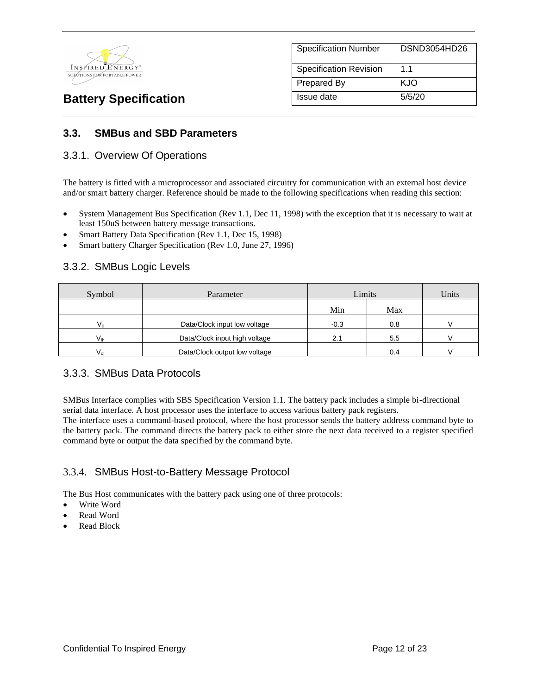

| <b>Specification Number</b>   | DSND3054HD26 |
|-------------------------------|--------------|
| <b>Specification Revision</b> | 1.1          |
| Prepared By                   | KJO          |
| Issue date                    | 5/5/20       |

## **3.3. SMBus and SBD Parameters**

### 3.3.1. Overview Of Operations

The battery is fitted with a microprocessor and associated circuitry for communication with an external host device and/or smart battery charger. Reference should be made to the following specifications when reading this section:

- System Management Bus Specification (Rev 1.1, Dec 11, 1998) with the exception that it is necessary to wait at least 150uS between battery message transactions.
- Smart Battery Data Specification (Rev 1.1, Dec 15, 1998)
- Smart battery Charger Specification (Rev 1.0, June 27, 1996)

### 3.3.2. SMBus Logic Levels

| Symbol       | Parameter                     | Limits |     | Units |
|--------------|-------------------------------|--------|-----|-------|
|              |                               | Min    | Max |       |
| $V_{\rm ii}$ | Data/Clock input low voltage  | $-0.3$ | 0.8 |       |
| $V_{ih}$     | Data/Clock input high voltage |        | 5.5 |       |
| $V_{nl}$     | Data/Clock output low voltage |        | 0.4 |       |

### 3.3.3. SMBus Data Protocols

SMBus Interface complies with SBS Specification Version 1.1. The battery pack includes a simple bi-directional serial data interface. A host processor uses the interface to access various battery pack registers.

The interface uses a command-based protocol, where the host processor sends the battery address command byte to the battery pack. The command directs the battery pack to either store the next data received to a register specified command byte or output the data specified by the command byte.

### 3.3.4. SMBus Host-to-Battery Message Protocol

The Bus Host communicates with the battery pack using one of three protocols:

- Write Word
- Read Word
- Read Block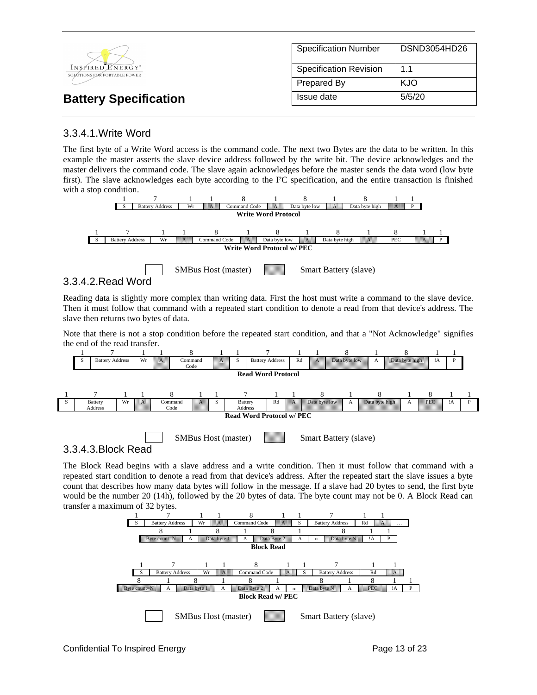|                                                  | <b>Specification Number</b>   | DSND3054HD26 |
|--------------------------------------------------|-------------------------------|--------------|
| INSPIRED ENERGY*<br>SOLÚTIONS FOR PORTABLE POWER | <b>Specification Revision</b> | 1.1          |
|                                                  | Prepared By                   | KJO          |
| <b>Battery Specification</b>                     | Issue date                    | 5/5/20       |

## 3.3.4.1.Write Word

The first byte of a Write Word access is the command code. The next two Bytes are the data to be written. In this example the master asserts the slave device address followed by the write bit. The device acknowledges and the master delivers the command code. The slave again acknowledges before the master sends the data word (low byte first). The slave acknowledges each byte according to the I²C specification, and the entire transaction is finished with a stop condition.



### 3.3.4.2.Read Word

3.3.4.3.Block Read

Reading data is slightly more complex than writing data. First the host must write a command to the slave device. Then it must follow that command with a repeated start condition to denote a read from that device's address. The slave then returns two bytes of data.

Note that there is not a stop condition before the repeated start condition, and that a "Not Acknowledge" signifies the end of the read transfer.



The Block Read begins with a slave address and a write condition. Then it must follow that command with a repeated start condition to denote a read from that device's address. After the repeated start the slave issues a byte count that describes how many data bytes will follow in the message. If a slave had 20 bytes to send, the first byte would be the number 20 (14h), followed by the 20 bytes of data. The byte count may not be 0. A Block Read can transfer a maximum of 32 bytes.

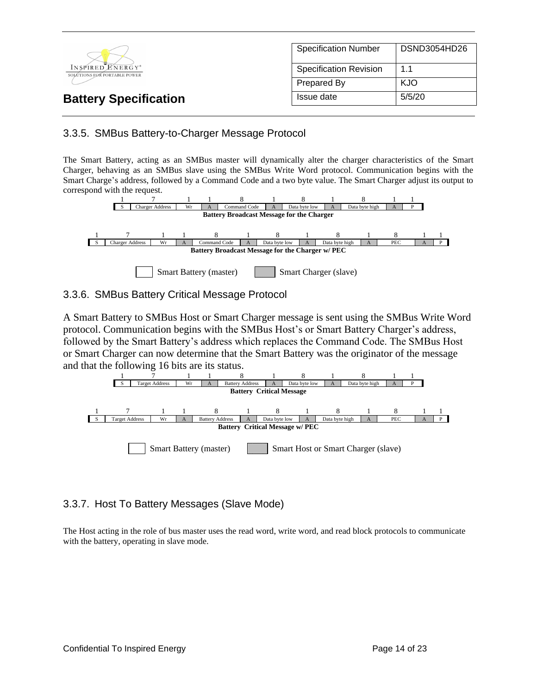

## 3.3.5. SMBus Battery-to-Charger Message Protocol

The Smart Battery, acting as an SMBus master will dynamically alter the charger characteristics of the Smart Charger, behaving as an SMBus slave using the SMBus Write Word protocol. Communication begins with the Smart Charge's address, followed by a Command Code and a two byte value. The Smart Charger adjust its output to correspond with the request.



### 3.3.6. SMBus Battery Critical Message Protocol

A Smart Battery to SMBus Host or Smart Charger message is sent using the SMBus Write Word protocol. Communication begins with the SMBus Host's or Smart Battery Charger's address, followed by the Smart Battery's address which replaces the Command Code. The SMBus Host or Smart Charger can now determine that the Smart Battery was the originator of the message and that the following 16 bits are its status.



## 3.3.7. Host To Battery Messages (Slave Mode)

The Host acting in the role of bus master uses the read word, write word, and read block protocols to communicate with the battery, operating in slave mode.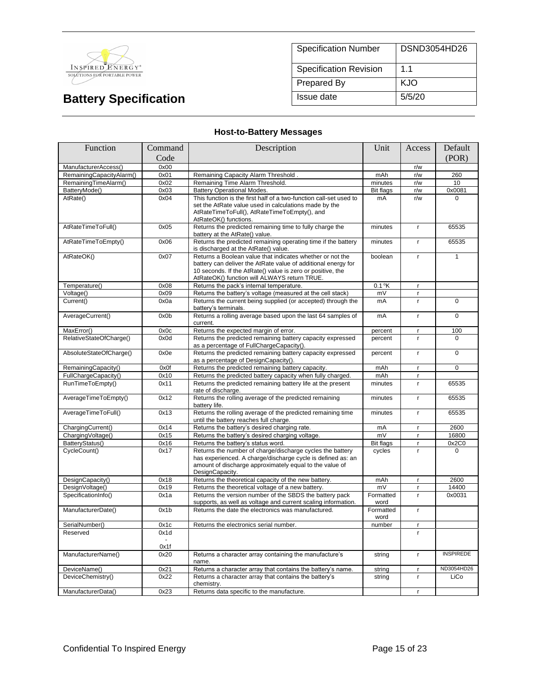

| <b>Specification Number</b>   | DSND3054HD26 |
|-------------------------------|--------------|
| <b>Specification Revision</b> | 11           |
| <b>Prepared By</b>            | KJO          |
| Issue date                    | 5/5/20       |

## **Host-to-Battery Messages**

| Function                 | Command | Description                                                                                                                                                                                                                              | Unit              | Access       | Default          |
|--------------------------|---------|------------------------------------------------------------------------------------------------------------------------------------------------------------------------------------------------------------------------------------------|-------------------|--------------|------------------|
|                          | Code    |                                                                                                                                                                                                                                          |                   |              | (POR)            |
| ManufacturerAccess()     | 0x00    |                                                                                                                                                                                                                                          |                   | r/w          |                  |
| RemainingCapacityAlarm() | 0x01    | Remaining Capacity Alarm Threshold.                                                                                                                                                                                                      | mAh               | r/w          | 260              |
| RemainingTimeAlarm()     | 0x02    | Remaining Time Alarm Threshold.                                                                                                                                                                                                          | minutes           | r/w          | 10               |
| BatteryMode()            | 0x03    | <b>Battery Operational Modes.</b>                                                                                                                                                                                                        | <b>Bit flags</b>  | r/w          | 0x0081           |
| AtRate()                 | 0x04    | This function is the first half of a two-function call-set used to<br>set the AtRate value used in calculations made by the<br>AtRateTimeToFull(), AtRateTimeToEmpty(), and<br>AtRateOK() functions.                                     | mA                | r/w          | $\Omega$         |
| AtRateTimeToFull()       | 0x05    | Returns the predicted remaining time to fully charge the<br>battery at the AtRate() value.                                                                                                                                               | minutes           | $\mathbf{r}$ | 65535            |
| AtRateTimeToEmpty()      | 0x06    | Returns the predicted remaining operating time if the battery<br>is discharged at the AtRate() value.                                                                                                                                    | minutes           | r            | 65535            |
| AtRateOK()               | 0x07    | Returns a Boolean value that indicates whether or not the<br>battery can deliver the AtRate value of additional energy for<br>10 seconds. If the AtRate() value is zero or positive, the<br>AtRateOK() function will ALWAYS return TRUE. | boolean           | $\mathsf{r}$ | $\mathbf{1}$     |
| Temperature()            | 0x08    | Returns the pack's internal temperature.                                                                                                                                                                                                 | $0.1$ °K          | $\mathbf{r}$ |                  |
| Voltage()                | 0x09    | Returns the battery's voltage (measured at the cell stack)                                                                                                                                                                               | mV                | $\mathbf{r}$ |                  |
| Current()                | 0x0a    | Returns the current being supplied (or accepted) through the<br>battery's terminals.                                                                                                                                                     | mA                | $\mathsf{r}$ | 0                |
| AverageCurrent()         | 0x0b    | Returns a rolling average based upon the last 64 samples of<br>current.                                                                                                                                                                  | mA                | r            | $\overline{0}$   |
| MaxError()               | 0x0c    | Returns the expected margin of error.                                                                                                                                                                                                    | percent           | $\mathbf{r}$ | 100              |
| RelativeStateOfCharge()  | 0x0d    | Returns the predicted remaining battery capacity expressed<br>as a percentage of FullChargeCapacity().                                                                                                                                   | percent           | $\mathsf{r}$ | $\Omega$         |
| AbsoluteStateOfCharge()  | 0x0e    | Returns the predicted remaining battery capacity expressed<br>as a percentage of DesignCapacity().                                                                                                                                       | percent           | $\mathbf{r}$ | $\mathbf 0$      |
| RemainingCapacity()      | 0x0f    | Returns the predicted remaining battery capacity.                                                                                                                                                                                        | mAh               | $\mathbf{r}$ | $\Omega$         |
| FullChargeCapacity()     | 0x10    | Returns the predicted battery capacity when fully charged.                                                                                                                                                                               | mAh               | $\mathbf{r}$ |                  |
| RunTimeToEmpty()         | 0x11    | Returns the predicted remaining battery life at the present<br>rate of discharge.                                                                                                                                                        | minutes           | $\mathbf{r}$ | 65535            |
| AverageTimeToEmpty()     | 0x12    | Returns the rolling average of the predicted remaining<br>battery life.                                                                                                                                                                  | minutes           | $\mathbf{r}$ | 65535            |
| AverageTimeToFull()      | 0x13    | Returns the rolling average of the predicted remaining time<br>until the battery reaches full charge.                                                                                                                                    | minutes           | $\mathsf{r}$ | 65535            |
| ChargingCurrent()        | 0x14    | Returns the battery's desired charging rate.                                                                                                                                                                                             | mA                | $\mathbf{r}$ | 2600             |
| ChargingVoltage()        | 0x15    | Returns the battery's desired charging voltage.                                                                                                                                                                                          | mV                | r.           | 16800            |
| BatteryStatus()          | 0x16    | Returns the battery's status word.                                                                                                                                                                                                       | <b>Bit flags</b>  | $\mathbf{r}$ | 0x2C0            |
| CycleCount()             | 0x17    | Returns the number of charge/discharge cycles the battery<br>has experienced. A charge/discharge cycle is defined as: an<br>amount of discharge approximately equal to the value of<br>DesignCapacity.                                   | cycles            | r.           | $\Omega$         |
| DesignCapacity()         | 0x18    | Returns the theoretical capacity of the new battery.                                                                                                                                                                                     | mAh               | $\mathsf{r}$ | 2600             |
| DesignVoltage()          | 0x19    | Returns the theoretical voltage of a new battery.                                                                                                                                                                                        | mV                | $\mathbf{r}$ | 14400            |
| SpecificationInfo()      | 0x1a    | Returns the version number of the SBDS the battery pack<br>supports, as well as voltage and current scaling information.                                                                                                                 | Formatted<br>word | $\mathbf{r}$ | 0x0031           |
| ManufacturerDate()       | 0x1b    | Returns the date the electronics was manufactured.                                                                                                                                                                                       | Formatted<br>word | $\mathbf{r}$ |                  |
| SerialNumber()           | 0x1c    | Returns the electronics serial number.                                                                                                                                                                                                   | number            | r            |                  |
| Reserved                 | 0x1d    |                                                                                                                                                                                                                                          |                   | r.           |                  |
|                          | 0x1f    |                                                                                                                                                                                                                                          |                   |              |                  |
| ManufacturerName()       | 0x20    | Returns a character array containing the manufacture's<br>name.                                                                                                                                                                          | string            | $\mathsf{r}$ | <b>INSPIREDE</b> |
| DeviceName()             | 0x21    | Returns a character array that contains the battery's name.                                                                                                                                                                              | string            | $\mathbf{r}$ | ND3054HD26       |
| DeviceChemistry()        | 0x22    | Returns a character array that contains the battery's<br>chemistry.                                                                                                                                                                      | string            | $\mathbf{r}$ | LiCo             |
| ManufacturerData()       | 0x23    | Returns data specific to the manufacture.                                                                                                                                                                                                |                   | r            |                  |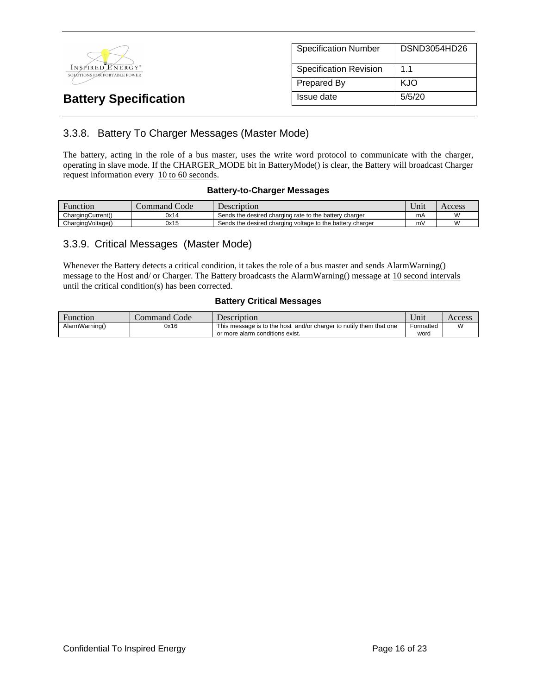

| <b>Specification Number</b>   | DSND3054HD26 |
|-------------------------------|--------------|
| <b>Specification Revision</b> | 11           |
| Prepared By                   | KJO          |
| Issue date                    | 5/5/20       |

# 3.3.8. Battery To Charger Messages (Master Mode)

The battery, acting in the role of a bus master, uses the write word protocol to communicate with the charger, operating in slave mode. If the CHARGER\_MODE bit in BatteryMode() is clear, the Battery will broadcast Charger request information every 10 to 60 seconds.

#### **Battery-to-Charger Messages**

| Function          | $\sim$<br>Code<br>command ' | Description                                               | $\mathbf{v}$<br>Jnıt | Access |
|-------------------|-----------------------------|-----------------------------------------------------------|----------------------|--------|
| ChargingCurrent() | 0x14                        | Sends the desired charging rate to the battery charger    | mA                   |        |
| ChargingVoltage() | 0x15                        | Sends the desired charging voltage to the battery charger | m١                   |        |

### 3.3.9. Critical Messages (Master Mode)

Whenever the Battery detects a critical condition, it takes the role of a bus master and sends AlarmWarning() message to the Host and/ or Charger. The Battery broadcasts the AlarmWarning() message at 10 second intervals until the critical condition(s) has been corrected.

#### **Battery Critical Messages**

| Function       | Command Code | Description                                                                                           | ∪nıt              | Access        |
|----------------|--------------|-------------------------------------------------------------------------------------------------------|-------------------|---------------|
| AlarmWarning() | 0x16         | This message is to the host and/or charger to notify them that one<br>or more alarm conditions exist. | Formatted<br>word | $\mathcal{M}$ |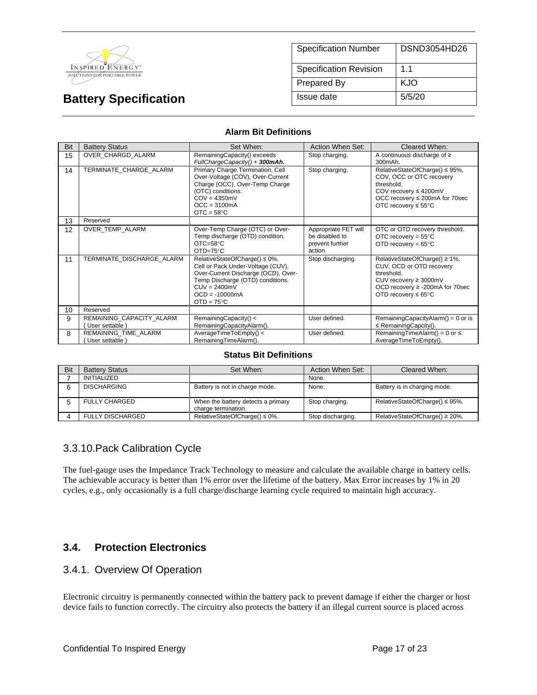

| <b>Specification Number</b> | DSND3054HD26 |
|-----------------------------|--------------|
| Specification Revision      | 11           |
| Prepared By                 | KJO          |
| Issue date                  | 5/5/20       |

#### **Alarm Bit Definitions**

| Bit | <b>Battery Status</b>                      | Set When:                                                                                                                                                                                                  | Action When Set:                                                     | Cleared When:                                                                                                                                                                 |
|-----|--------------------------------------------|------------------------------------------------------------------------------------------------------------------------------------------------------------------------------------------------------------|----------------------------------------------------------------------|-------------------------------------------------------------------------------------------------------------------------------------------------------------------------------|
| 15  | OVER CHARGD ALARM                          | RemainingCapacity() exceeds<br>FullChargeCapacity() + 300mAh.                                                                                                                                              | Stop charging.                                                       | A continuous discharge of $\geq$<br>300mAh.                                                                                                                                   |
| 14  | TERMINATE CHARGE ALARM                     | Primary Charge Termination, Cell<br>Over-Voltage (COV), Over-Current<br>Charge (OCC), Over-Temp Charge<br>(OTC) conditions.<br>$COV = 4350mV$<br>$OCC = 3100mA$<br>$OTC = 58°C$                            | Stop charging.                                                       | RelativeStateOfCharge() ≤ 95%,<br>COV, OCC or OTC recovery<br>threshold.<br>COV recovery $\leq 4200$ mV<br>OCC recovery ≤ 200mA for 70sec<br>OTC recovery $\leq 55^{\circ}$ C |
| 13  | Reserved                                   |                                                                                                                                                                                                            |                                                                      |                                                                                                                                                                               |
| 12  | OVER TEMP ALARM                            | Over-Temp Charge (OTC) or Over-<br>Temp discharge (OTD) condition.<br>$OTC = 58°C$<br>$OTD=75^{\circ}C$                                                                                                    | Appropriate FET will<br>be disabled to<br>prevent further<br>action. | OTC or OTD recovery threshold.<br>OTC recovery = $55^{\circ}$ C<br>OTD recovery = $65^{\circ}$ C                                                                              |
| 11  | TERMINATE DISCHARGE ALARM                  | RelativeStateOfCharge() ≤ 0%,<br>Cell or Pack Under-Voltage (CUV),<br>Over-Current Discharge (OCD), Over-<br>Temp Discharge (OTD) conditions.<br>$CUV = 2400mV$<br>$OCD = -10000mA$<br>$OTD = 75^{\circ}C$ | Stop discharging.                                                    | RelativeStateOfCharge() ≥ 1%,<br>CUV, OCD or OTD recovery<br>threshold.<br>CUV recovery $\geq$ 3000mV<br>OCD recovery ≥ -200mA for 70sec<br>OTD recovery $\leq 65^{\circ}$ C  |
| 10  | Reserved                                   |                                                                                                                                                                                                            |                                                                      |                                                                                                                                                                               |
| 9   | REMAINING_CAPACITY_ALARM<br>User settable) | RemainingCapacity() <<br>RemainingCapacityAlarm().                                                                                                                                                         | User defined.                                                        | RemainingCapacityAlarm() = $0$ or is<br>$\leq$ Remaining Capcity().                                                                                                           |
| 8   | REMAINING TIME ALARM<br>User settable)     | AverageTimeToEmpty() <<br>RemainingTimeAlarm().                                                                                                                                                            | User defined.                                                        | RemainingTimeAlarm() = $0$ or $\leq$<br>AverageTimeToEmpty().                                                                                                                 |

#### **Status Bit Definitions**

| Bit | <b>Battery Status</b>   | Set When:                                                 | Action When Set:  | Cleared When:                  |
|-----|-------------------------|-----------------------------------------------------------|-------------------|--------------------------------|
|     | INITIALIZED             |                                                           | None.             |                                |
|     | <b>DISCHARGING</b>      | Battery is not in charge mode.                            | None.             | Battery is in charging mode.   |
|     | <b>FULLY CHARGED</b>    | When the battery detects a primary<br>charge termination. | Stop charging.    | RelativeStateOfCharge() ≤ 95%. |
|     | <b>FULLY DISCHARGED</b> | RelativeStateOfCharge() $\leq 0\%$ .                      | Stop discharging. | RelativeStateOfCharge() ≥ 20%. |

### 3.3.10.Pack Calibration Cycle

The fuel-gauge uses the Impedance Track Technology to measure and calculate the available charge in battery cells. The achievable accuracy is better than 1% error over the lifetime of the battery. Max Error increases by 1% in 20 cycles, e.g., only occasionally is a full charge/discharge learning cycle required to maintain high accuracy.

## **3.4. Protection Electronics**

### 3.4.1. Overview Of Operation

Electronic circuitry is permanently connected within the battery pack to prevent damage if either the charger or host device fails to function correctly. The circuitry also protects the battery if an illegal current source is placed across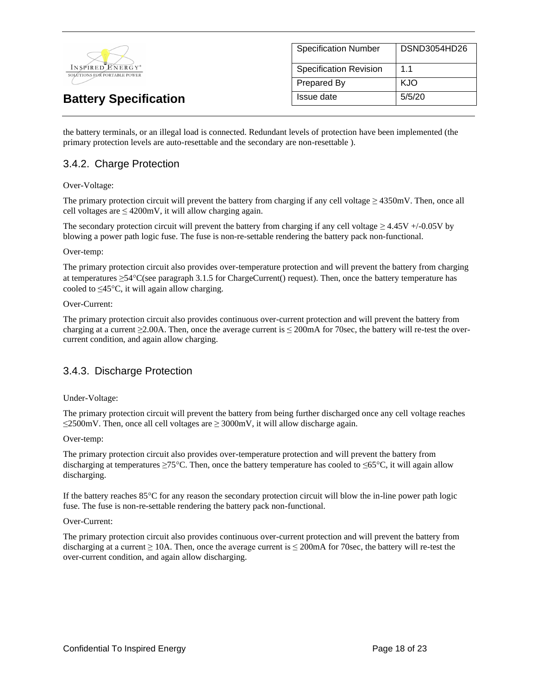

| <b>Specification Number</b>   | DSND3054HD26   |
|-------------------------------|----------------|
| <b>Specification Revision</b> | 1 <sub>1</sub> |
| <b>Prepared By</b>            | KJO            |
| Issue date                    | 5/5/20         |

the battery terminals, or an illegal load is connected. Redundant levels of protection have been implemented (the primary protection levels are auto-resettable and the secondary are non-resettable ).

## 3.4.2. Charge Protection

#### Over-Voltage:

The primary protection circuit will prevent the battery from charging if any cell voltage  $\geq 4350$  mV. Then, once all cell voltages are  $\leq 4200$ mV, it will allow charging again.

The secondary protection circuit will prevent the battery from charging if any cell voltage  $\geq 4.45V + (-0.05V)$  by blowing a power path logic fuse. The fuse is non-re-settable rendering the battery pack non-functional.

#### Over-temp:

The primary protection circuit also provides over-temperature protection and will prevent the battery from charging at temperatures  $\geq 54^{\circ}$ C(see paragraph 3.1.5 for ChargeCurrent() request). Then, once the battery temperature has cooled to  $\leq$ 45°C, it will again allow charging.

#### Over-Current:

The primary protection circuit also provides continuous over-current protection and will prevent the battery from charging at a current  $\geq 2.00$ A. Then, once the average current is  $\leq 200$ mA for 70sec, the battery will re-test the overcurrent condition, and again allow charging.

### 3.4.3. Discharge Protection

#### Under-Voltage:

The primary protection circuit will prevent the battery from being further discharged once any cell voltage reaches ≤2500mV. Then, once all cell voltages are ≥ 3000mV, it will allow discharge again.

#### Over-temp:

The primary protection circuit also provides over-temperature protection and will prevent the battery from discharging at temperatures  $\geq 75^{\circ}$ C. Then, once the battery temperature has cooled to  $\leq 65^{\circ}$ C, it will again allow discharging.

If the battery reaches 85°C for any reason the secondary protection circuit will blow the in-line power path logic fuse. The fuse is non-re-settable rendering the battery pack non-functional.

#### Over-Current:

The primary protection circuit also provides continuous over-current protection and will prevent the battery from discharging at a current  $\geq 10A$ . Then, once the average current is  $\leq 200 \text{mA}$  for 70sec, the battery will re-test the over-current condition, and again allow discharging.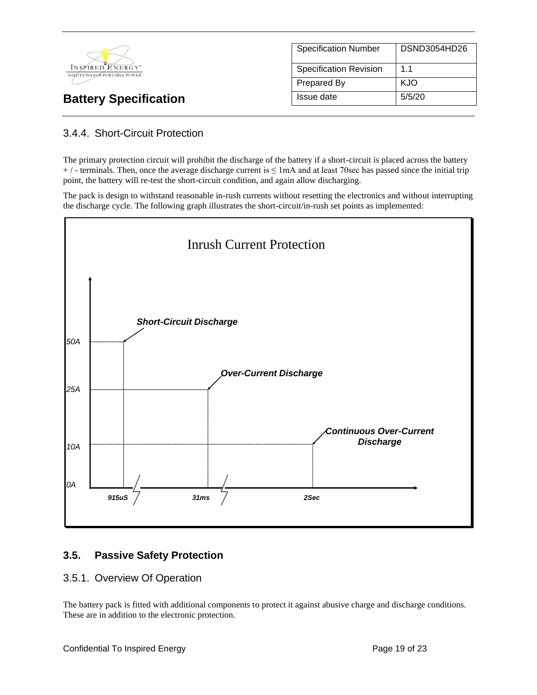

| <b>Specification Number</b>   | DSND3054HD26 |
|-------------------------------|--------------|
| <b>Specification Revision</b> | 1.1          |
| Prepared By                   | KJO          |
| Issue date                    | 5/5/20       |

# 3.4.4. Short-Circuit Protection

The primary protection circuit will prohibit the discharge of the battery if a short-circuit is placed across the battery  $+$  / - terminals. Then, once the average discharge current is  $\leq$  1mA and at least 70sec has passed since the initial trip point, the battery will re-test the short-circuit condition, and again allow discharging.

The pack is design to withstand reasonable in-rush currents without resetting the electronics and without interrupting the discharge cycle. The following graph illustrates the short-circuit/in-rush set points as implemented:



# **3.5. Passive Safety Protection**

### 3.5.1. Overview Of Operation

The battery pack is fitted with additional components to protect it against abusive charge and discharge conditions. These are in addition to the electronic protection.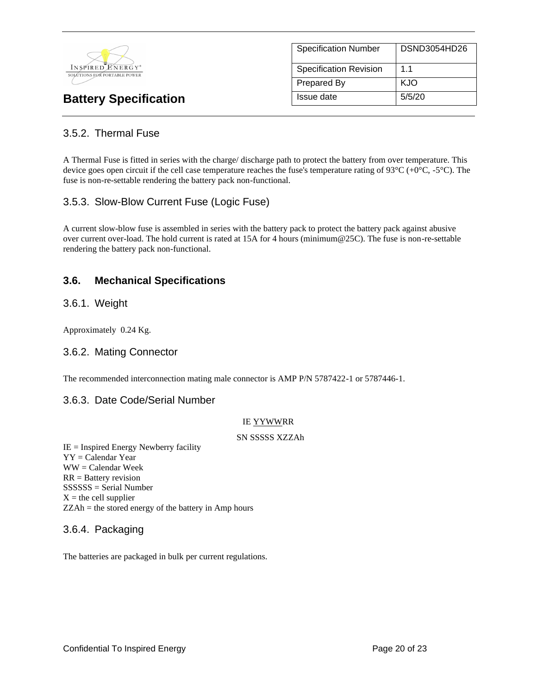

| <b>Specification Number</b>   | DSND3054HD26 |
|-------------------------------|--------------|
| <b>Specification Revision</b> | 11           |
| Prepared By                   | KJO          |
| Issue date                    | 5/5/20       |

# 3.5.2. Thermal Fuse

A Thermal Fuse is fitted in series with the charge/ discharge path to protect the battery from over temperature. This device goes open circuit if the cell case temperature reaches the fuse's temperature rating of  $93^{\circ}C (+0^{\circ}C, -5^{\circ}C)$ . The fuse is non-re-settable rendering the battery pack non-functional.

## 3.5.3. Slow-Blow Current Fuse (Logic Fuse)

A current slow-blow fuse is assembled in series with the battery pack to protect the battery pack against abusive over current over-load. The hold current is rated at 15A for 4 hours (minimum@25C). The fuse is non-re-settable rendering the battery pack non-functional.

## **3.6. Mechanical Specifications**

### 3.6.1. Weight

Approximately 0.24 Kg.

### 3.6.2. Mating Connector

The recommended interconnection mating male connector is AMP P/N 5787422-1 or 5787446-1.

### 3.6.3. Date Code/Serial Number

#### IE YYWWRR

#### SN SSSSS XZZAh

 $IE =$  Inspired Energy Newberry facility YY = Calendar Year WW = Calendar Week RR = Battery revision SSSSSS = Serial Number  $X =$  the cell supplier ZZAh = the stored energy of the battery in Amp hours

### 3.6.4. Packaging

The batteries are packaged in bulk per current regulations.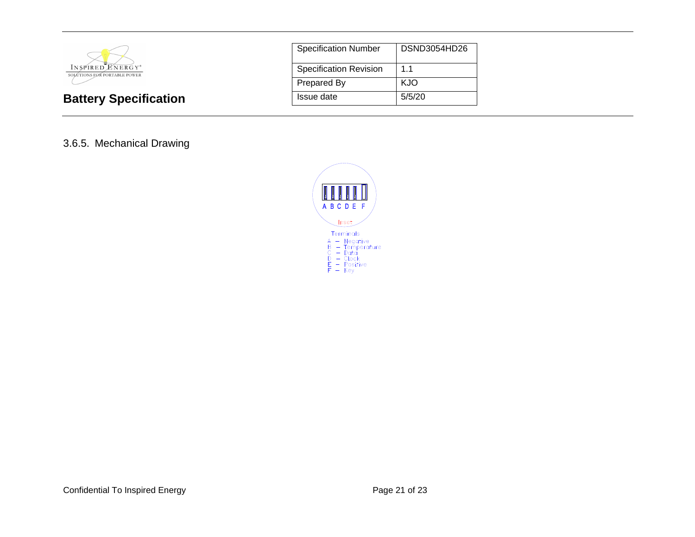

| <b>Specification Number</b>   | DSND3054HD26 |
|-------------------------------|--------------|
| <b>Specification Revision</b> | 11           |
| <b>Prepared By</b>            | KJO          |
| Issue date                    | 5/5/20       |

## 3.6.5. Mechanical Drawing

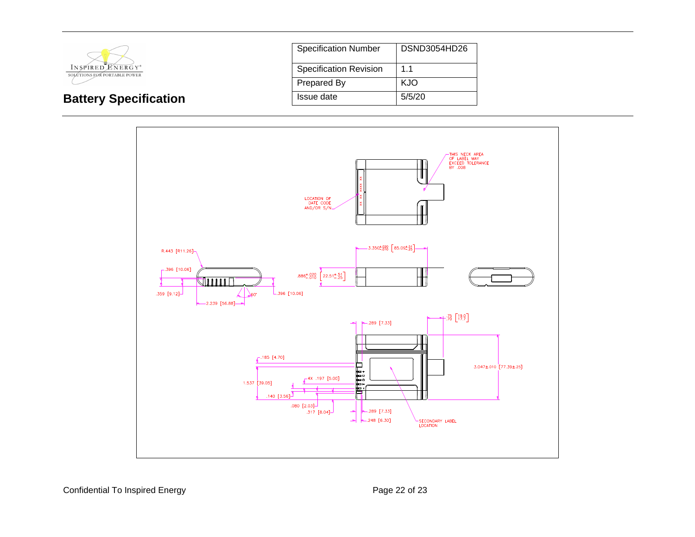

**Battery Specification** 

| <b>Specification Number</b>   | DSND3054HD26 |
|-------------------------------|--------------|
| <b>Specification Revision</b> | 1.1          |
| Prepared By                   | KJO          |
| Issue date                    | 5/5/20       |



Confidential To Inspired Energy **Page 22 of 23** Page 22 of 23